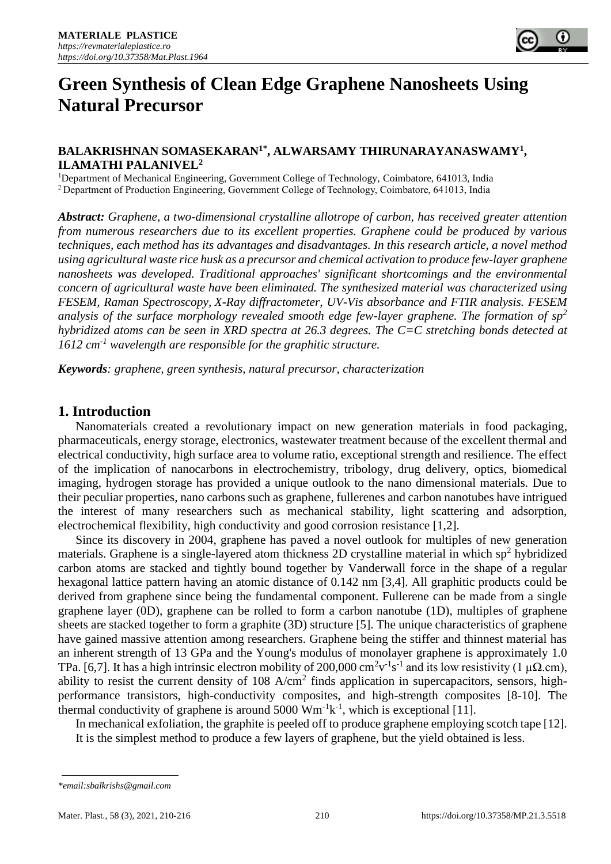# **Green Synthesis of Clean Edge Graphene Nanosheets Using Natural Precursor**

#### **BALAKRISHNAN SOMASEKARAN1\* , ALWARSAMY THIRUNARAYANASWAMY<sup>1</sup> , ILAMATHI PALANIVEL<sup>2</sup>**

<sup>1</sup>Department of Mechanical Engineering, Government College of Technology, Coimbatore, 641013, India <sup>2</sup>Department of Production Engineering, Government College of Technology, Coimbatore, 641013, India

*Abstract: Graphene, a two-dimensional crystalline allotrope of carbon, has received greater attention from numerous researchers due to its excellent properties. Graphene could be produced by various techniques, each method has its advantages and disadvantages. In this research article, a novel method using agricultural waste rice husk as a precursor and chemical activation to produce few-layer graphene nanosheets was developed. Traditional approaches' significant shortcomings and the environmental concern of agricultural waste have been eliminated. The synthesized material was characterized using FESEM, Raman Spectroscopy, X-Ray diffractometer, UV-Vis absorbance and FTIR analysis. FESEM analysis of the surface morphology revealed smooth edge few-layer graphene. The formation of sp<sup>2</sup> hybridized atoms can be seen in XRD spectra at 26.3 degrees. The C=C stretching bonds detected at 1612 cm-1 wavelength are responsible for the graphitic structure.* 

*Keywords: graphene, green synthesis, natural precursor, characterization* 

#### **1. Introduction**

Nanomaterials created a revolutionary impact on new generation materials in food packaging, pharmaceuticals, energy storage, electronics, wastewater treatment because of the excellent thermal and electrical conductivity, high surface area to volume ratio, exceptional strength and resilience. The effect of the implication of nanocarbons in electrochemistry, tribology, drug delivery, optics, biomedical imaging, hydrogen storage has provided a unique outlook to the nano dimensional materials. Due to their peculiar properties, nano carbons such as graphene, fullerenes and carbon nanotubes have intrigued the interest of many researchers such as mechanical stability, light scattering and adsorption, electrochemical flexibility, high conductivity and good corrosion resistance [1,2].

Since its discovery in 2004, graphene has paved a novel outlook for multiples of new generation materials. Graphene is a single-layered atom thickness 2D crystalline material in which sp<sup>2</sup> hybridized carbon atoms are stacked and tightly bound together by Vanderwall force in the shape of a regular hexagonal lattice pattern having an atomic distance of 0.142 nm [3,4]. All graphitic products could be derived from graphene since being the fundamental component. Fullerene can be made from a single graphene layer (0D), graphene can be rolled to form a carbon nanotube (1D), multiples of graphene sheets are stacked together to form a graphite (3D) structure [5]. The unique characteristics of graphene have gained massive attention among researchers. Graphene being the stiffer and thinnest material has an inherent strength of 13 GPa and the Young's modulus of monolayer graphene is approximately 1.0 TPa. [6,7]. It has a high intrinsic electron mobility of 200,000 cm<sup>2</sup>v<sup>-1</sup>s<sup>-1</sup> and its low resistivity (1  $\mu\Omega$ .cm), ability to resist the current density of  $108 \text{ A/cm}^2$  finds application in supercapacitors, sensors, highperformance transistors, high-conductivity composites, and high-strength composites [8-10]. The thermal conductivity of graphene is around  $5000 \text{ Wm}^{-1}\text{k}^{-1}$ , which is exceptional [11].

In mechanical exfoliation, the graphite is peeled off to produce graphene employing scotch tape [12]. It is the simplest method to produce a few layers of graphene, but the yield obtained is less.

*<sup>\*</sup>email:sbalkrishs@gmail.com*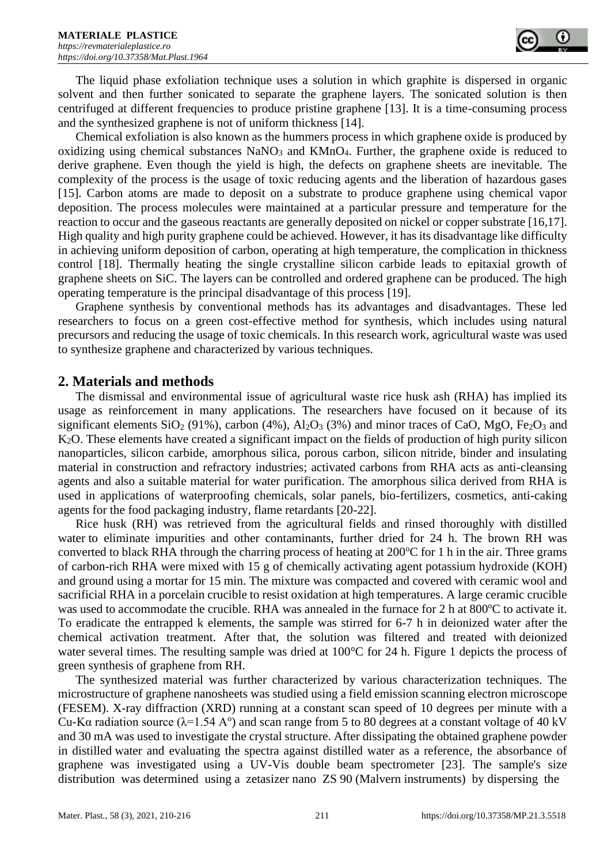The liquid phase exfoliation technique uses a solution in which graphite is dispersed in organic solvent and then further sonicated to separate the graphene layers. The sonicated solution is then centrifuged at different frequencies to produce pristine graphene [13]. It is a time-consuming process and the synthesized graphene is not of uniform thickness [14].

Chemical exfoliation is also known as the hummers process in which graphene oxide is produced by oxidizing using chemical substances  $NaNO<sub>3</sub>$  and  $KMnO<sub>4</sub>$ . Further, the graphene oxide is reduced to derive graphene. Even though the yield is high, the defects on graphene sheets are inevitable. The complexity of the process is the usage of toxic reducing agents and the liberation of hazardous gases [15]. Carbon atoms are made to deposit on a substrate to produce graphene using chemical vapor deposition. The process molecules were maintained at a particular pressure and temperature for the reaction to occur and the gaseous reactants are generally deposited on nickel or copper substrate [16,17]. High quality and high purity graphene could be achieved. However, it has its disadvantage like difficulty in achieving uniform deposition of carbon, operating at high temperature, the complication in thickness control [18]. Thermally heating the single crystalline silicon carbide leads to epitaxial growth of graphene sheets on SiC. The layers can be controlled and ordered graphene can be produced. The high operating temperature is the principal disadvantage of this process [19].

Graphene synthesis by conventional methods has its advantages and disadvantages. These led researchers to focus on a green cost-effective method for synthesis, which includes using natural precursors and reducing the usage of toxic chemicals. In this research work, agricultural waste was used to synthesize graphene and characterized by various techniques.

#### **2. Materials and methods**

The dismissal and environmental issue of agricultural waste rice husk ash (RHA) has implied its usage as reinforcement in many applications. The researchers have focused on it because of its significant elements  $SiO_2$  (91%), carbon (4%),  $Al_2O_3$  (3%) and minor traces of CaO, MgO, Fe<sub>2</sub>O<sub>3</sub> and K2O. These elements have created a significant impact on the fields of production of high purity silicon nanoparticles, silicon carbide, amorphous silica, porous carbon, silicon nitride, binder and insulating material in construction and refractory industries; activated carbons from RHA acts as anti-cleansing agents and also a suitable material for water purification. The amorphous silica derived from RHA is used in applications of waterproofing chemicals, solar panels, bio-fertilizers, cosmetics, anti-caking agents for the food packaging industry, flame retardants [20-22].

Rice husk (RH) was retrieved from the agricultural fields and rinsed thoroughly with distilled water to eliminate impurities and other contaminants, further dried for 24 h. The brown RH was converted to black RHA through the charring process of heating at  $200^{\circ}$ C for 1 h in the air. Three grams of carbon-rich RHA were mixed with 15 g of chemically activating agent potassium hydroxide (KOH) and ground using a mortar for 15 min. The mixture was compacted and covered with ceramic wool and sacrificial RHA in a porcelain crucible to resist oxidation at high temperatures. A large ceramic crucible was used to accommodate the crucible. RHA was annealed in the furnace for 2 h at  $800^{\circ}$ C to activate it. To eradicate the entrapped k elements, the sample was stirred for 6-7 h in deionized water after the chemical activation treatment. After that, the solution was filtered and treated with deionized water several times. The resulting sample was dried at 100°C for 24 h. Figure 1 depicts the process of green synthesis of graphene from RH.

The synthesized material was further characterized by various characterization techniques. The microstructure of graphene nanosheets was studied using a field emission scanning electron microscope (FESEM). X-ray diffraction (XRD) running at a constant scan speed of 10 degrees per minute with a Cu-Kα radiation source ( $\lambda$ =1.54 A<sup>o</sup>) and scan range from 5 to 80 degrees at a constant voltage of 40 kV and 30 mA was used to investigate the crystal structure. After dissipating the obtained graphene powder in distilled water and evaluating the spectra against distilled water as a reference, the absorbance of graphene was investigated using a UV-Vis double beam spectrometer [23]. The sample's size distribution was determined using a zetasizer nano ZS 90 (Malvern instruments) by dispersing the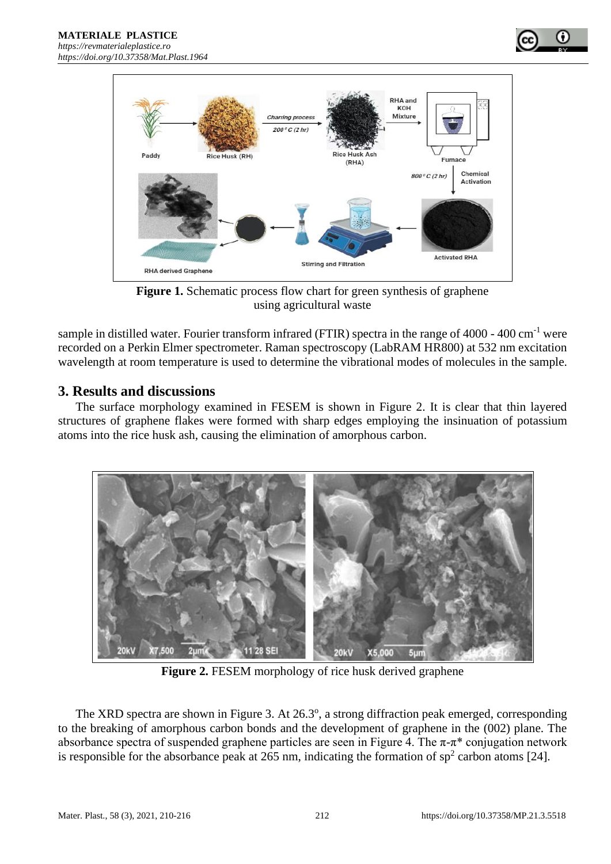

**Figure 1.** Schematic process flow chart for green synthesis of graphene using agricultural waste

sample in distilled water. Fourier transform infrared (FTIR) spectra in the range of 4000 - 400 cm<sup>-1</sup> were recorded on a Perkin Elmer spectrometer. Raman spectroscopy (LabRAM HR800) at 532 nm excitation wavelength at room temperature is used to determine the vibrational modes of molecules in the sample.

### **3. Results and discussions**

The surface morphology examined in FESEM is shown in Figure 2. It is clear that thin layered structures of graphene flakes were formed with sharp edges employing the insinuation of potassium atoms into the rice husk ash, causing the elimination of amorphous carbon.



**Figure 2.** FESEM morphology of rice husk derived graphene

The XRD spectra are shown in Figure 3. At 26.3°, a strong diffraction peak emerged, corresponding to the breaking of amorphous carbon bonds and the development of graphene in the (002) plane. The absorbance spectra of suspended graphene particles are seen in Figure 4. The  $\pi$ - $\pi$ <sup>\*</sup> conjugation network is responsible for the absorbance peak at 265 nm, indicating the formation of  $sp<sup>2</sup>$  carbon atoms [24].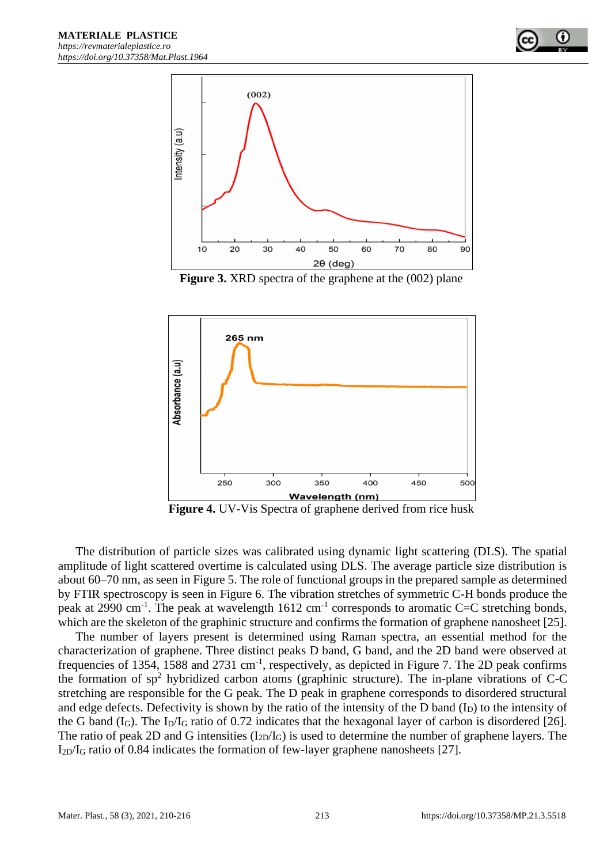

**Figure 3.** XRD spectra of the graphene at the (002) plane



**Figure 4.** UV-Vis Spectra of graphene derived from rice husk

The distribution of particle sizes was calibrated using dynamic light scattering (DLS). The spatial amplitude of light scattered overtime is calculated using DLS. The average particle size distribution is about 60–70 nm, as seen in Figure 5. The role of functional groups in the prepared sample as determined by FTIR spectroscopy is seen in Figure 6. The vibration stretches of symmetric C-H bonds produce the peak at 2990 cm<sup>-1</sup>. The peak at wavelength  $1612 \text{ cm}^{-1}$  corresponds to aromatic C=C stretching bonds, which are the skeleton of the graphinic structure and confirms the formation of graphene nanosheet [25].

The number of layers present is determined using Raman spectra, an essential method for the characterization of graphene. Three distinct peaks D band, G band, and the 2D band were observed at frequencies of 1354, 1588 and 2731 cm<sup>-1</sup>, respectively, as depicted in Figure 7. The 2D peak confirms the formation of  $sp^2$  hybridized carbon atoms (graphinic structure). The in-plane vibrations of C-C stretching are responsible for the G peak. The D peak in graphene corresponds to disordered structural and edge defects. Defectivity is shown by the ratio of the intensity of the D band  $(I_D)$  to the intensity of the G band  $(I_G)$ . The  $I_D/I_G$  ratio of 0.72 indicates that the hexagonal layer of carbon is disordered [26]. The ratio of peak 2D and G intensities  $(I_{2D}/I_G)$  is used to determine the number of graphene layers. The I2D/I<sup>G</sup> ratio of 0.84 indicates the formation of few-layer graphene nanosheets [27].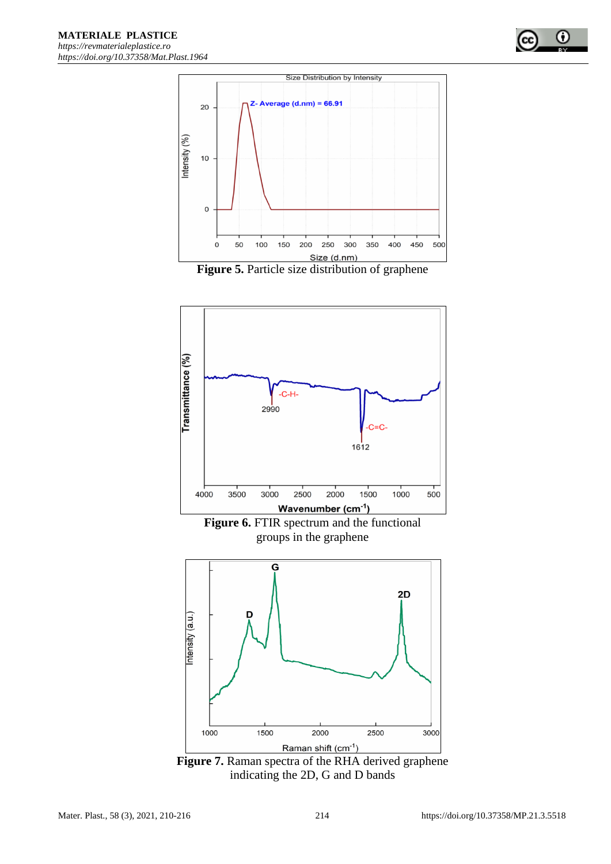





Figure 7. Raman spectra of the RHA derived graphene indicating the 2D, G and D bands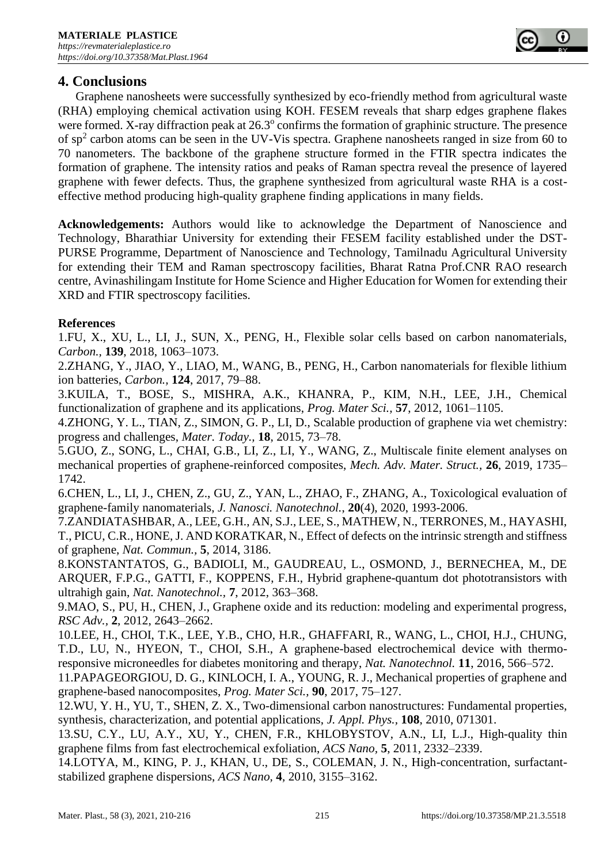## **4. Conclusions**

Graphene nanosheets were successfully synthesized by eco-friendly method from agricultural waste (RHA) employing chemical activation using KOH. FESEM reveals that sharp edges graphene flakes were formed. X-ray diffraction peak at  $26.3^{\circ}$  confirms the formation of graphinic structure. The presence of  $sp<sup>2</sup>$  carbon atoms can be seen in the UV-Vis spectra. Graphene nanosheets ranged in size from 60 to 70 nanometers. The backbone of the graphene structure formed in the FTIR spectra indicates the formation of graphene. The intensity ratios and peaks of Raman spectra reveal the presence of layered graphene with fewer defects. Thus, the graphene synthesized from agricultural waste RHA is a costeffective method producing high-quality graphene finding applications in many fields.

**Acknowledgements:** Authors would like to acknowledge the Department of Nanoscience and Technology, Bharathiar University for extending their FESEM facility established under the DST-PURSE Programme, Department of Nanoscience and Technology, Tamilnadu Agricultural University for extending their TEM and Raman spectroscopy facilities, Bharat Ratna Prof.CNR RAO research centre, Avinashilingam Institute for Home Science and Higher Education for Women for extending their XRD and FTIR spectroscopy facilities.

#### **References**

1.FU, X., XU, L., LI, J., SUN, X., PENG, H., Flexible solar cells based on carbon nanomaterials, *Carbon.,* **139**, 2018, 1063–1073.

2.ZHANG, Y., JIAO, Y., LIAO, M., WANG, B., PENG, H., Carbon nanomaterials for flexible lithium ion batteries, *Carbon.,* **124**, 2017, 79–88.

3.KUILA, T., BOSE, S., MISHRA, A.K., KHANRA, P., KIM, N.H., LEE, J.H., Chemical functionalization of graphene and its applications, *Prog. Mater Sci.,* **57**, 2012, 1061–1105.

4.ZHONG, Y. L., TIAN, Z., SIMON, G. P., LI, D., Scalable production of graphene via wet chemistry: progress and challenges, *Mater. Today.,* **18**, 2015, 73–78.

5.GUO, Z., SONG, L., CHAI, G.B., LI, Z., LI, Y., WANG, Z., Multiscale finite element analyses on mechanical properties of graphene-reinforced composites, *Mech. Adv. Mater. Struct.,* **26**, 2019, 1735– 1742.

6.CHEN, L., LI, J., CHEN, Z., GU, Z., YAN, L., ZHAO, F., ZHANG, A., Toxicological evaluation of graphene-family nanomaterials, *J. Nanosci. Nanotechnol.*, **20**(4), 2020, 1993-2006.

7.ZANDIATASHBAR, A., LEE, G.H., AN, S.J., LEE, S., MATHEW, N., TERRONES, M., HAYASHI, T., PICU, C.R., HONE, J. AND KORATKAR, N., Effect of defects on the intrinsic strength and stiffness of graphene, *Nat. Commun.,* **5**, 2014, 3186.

8.KONSTANTATOS, G., BADIOLI, M., GAUDREAU, L., OSMOND, J., BERNECHEA, M., DE ARQUER, F.P.G., GATTI, F., KOPPENS, F.H., Hybrid graphene-quantum dot phototransistors with ultrahigh gain, *Nat. Nanotechnol.,* **7**, 2012, 363–368.

9.MAO, S., PU, H., CHEN, J., Graphene oxide and its reduction: modeling and experimental progress, *RSC Adv.,* **2**, 2012, 2643–2662.

10.LEE, H., CHOI, T.K., LEE, Y.B., CHO, H.R., GHAFFARI, R., WANG, L., CHOI, H.J., CHUNG, T.D., LU, N., HYEON, T., CHOI, S.H., A graphene-based electrochemical device with thermoresponsive microneedles for diabetes monitoring and therapy, *Nat. Nanotechnol.* **11**, 2016, 566–572.

11.PAPAGEORGIOU, D. G., KINLOCH, I. A., YOUNG, R. J., Mechanical properties of graphene and graphene-based nanocomposites, *Prog. Mater Sci.,* **90**, 2017, 75–127.

12.WU, Y. H., YU, T., SHEN, Z. X., Two-dimensional carbon nanostructures: Fundamental properties, synthesis, characterization, and potential applications, *J. Appl. Phys.,* **108**, 2010, 071301.

13.SU, C.Y., LU, A.Y., XU, Y., CHEN, F.R., KHLOBYSTOV, A.N., LI, L.J., High-quality thin graphene films from fast electrochemical exfoliation, *ACS Nano,* **5**, 2011, 2332–2339.

14.LOTYA, M., KING, P. J., KHAN, U., DE, S., COLEMAN, J. N., High-concentration, surfactantstabilized graphene dispersions, *ACS Nano,* **4**, 2010, 3155–3162.